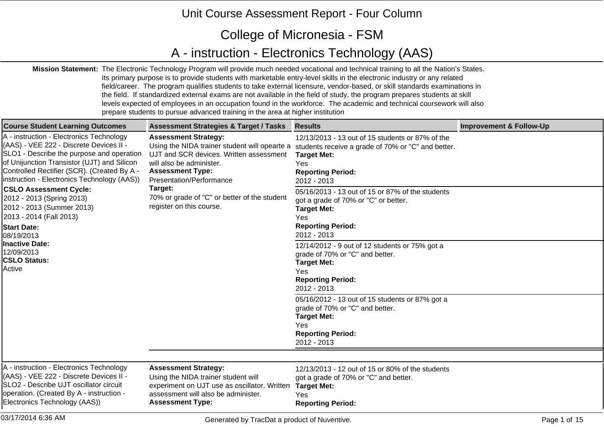## Unit Course Assessment Report - Four Column

## College of Micronesia - FSM

## A - instruction - Electronics Technology (AAS)

**Mission Statement:** The Electronic Technology Program will provide much needed vocational and technical training to all the Nation's States. Its primary purpose is to provide students with marketable entry-level skills in the electronic industry or any related field/career. The program qualifies students to take external licensure, vendor-based, or skill standards examinations in the field. If standardized external exams are not available in the field of study, the program prepares students at skill levels expected of employees in an occupation found in the workforce. The academic and technical coursework will also prepare students to pursue advanced training in the area at higher institution

| <b>Course Student Learning Outcomes</b>                                                                                                                                                                                                                                                                                                                                                                                                                                                                          | <b>Assessment Strategies &amp; Target / Tasks</b>                                                                                                                                                                                                                                                 | <b>Results</b>                                                                                                                                                                                                                                                                                                                                                                                                                                                                                                                                                                                                                                                                | <b>Improvement &amp; Follow-Up</b> |
|------------------------------------------------------------------------------------------------------------------------------------------------------------------------------------------------------------------------------------------------------------------------------------------------------------------------------------------------------------------------------------------------------------------------------------------------------------------------------------------------------------------|---------------------------------------------------------------------------------------------------------------------------------------------------------------------------------------------------------------------------------------------------------------------------------------------------|-------------------------------------------------------------------------------------------------------------------------------------------------------------------------------------------------------------------------------------------------------------------------------------------------------------------------------------------------------------------------------------------------------------------------------------------------------------------------------------------------------------------------------------------------------------------------------------------------------------------------------------------------------------------------------|------------------------------------|
| A - instruction - Electronics Technology<br>(AAS) - VEE 222 - Discrete Devices II -<br>SLO1 - Describe the purpose and operation<br>of Unijunction Transistor (UJT) and Silicon<br>Controlled Rectifier (SCR). (Created By A -<br>linstruction - Electronics Technology (AAS))<br><b>CSLO Assessment Cycle:</b><br>2012 - 2013 (Spring 2013)<br>2012 - 2013 (Summer 2013)<br>2013 - 2014 (Fall 2013)<br><b>Start Date:</b><br>08/19/2013<br>Inactive Date:<br>12/09/2013<br><b>CSLO Status:</b><br><b>Active</b> | <b>Assessment Strategy:</b><br>Using the NIDA trainer student will opearte a<br>UJT and SCR devices. Written assessment<br>will also be administer.<br><b>Assessment Type:</b><br>Presentation/Performance<br>Target:<br>70% or grade of "C" or better of the student<br>register on this course. | 12/13/2013 - 13 out of 15 students or 87% of the<br>students receive a grade of 70% or "C" and better.<br><b>Target Met:</b><br>Yes<br><b>Reporting Period:</b><br>2012 - 2013<br>05/16/2013 - 13 out of 15 or 87% of the students<br>got a grade of 70% or "C" or better.<br><b>Target Met:</b><br>Yes<br><b>Reporting Period:</b><br>2012 - 2013<br>12/14/2012 - 9 out of 12 students or 75% got a<br>grade of 70% or "C" and better.<br><b>Target Met:</b><br>Yes<br><b>Reporting Period:</b><br>2012 - 2013<br>05/16/2012 - 13 out of 15 students or 87% got a<br>grade of 70% or "C" and better.<br><b>Target Met:</b><br>Yes<br><b>Reporting Period:</b><br>2012 - 2013 |                                    |
| A - instruction - Electronics Technology<br>(AAS) - VEE 222 - Discrete Devices II -<br><b>SLO2 - Describe UJT oscillator circuit</b><br>operation. (Created By A - instruction -<br>Electronics Technology (AAS))                                                                                                                                                                                                                                                                                                | <b>Assessment Strategy:</b><br>Using the NIDA trainer student will<br>experiment on UJT use as oscillator. Written<br>assessment will also be administer.<br><b>Assessment Type:</b>                                                                                                              | 12/13/2013 - 12 out of 15 or 80% of the students<br>got a grade of 70% or "C" and better.<br><b>Target Met:</b><br>Yes<br><b>Reporting Period:</b>                                                                                                                                                                                                                                                                                                                                                                                                                                                                                                                            |                                    |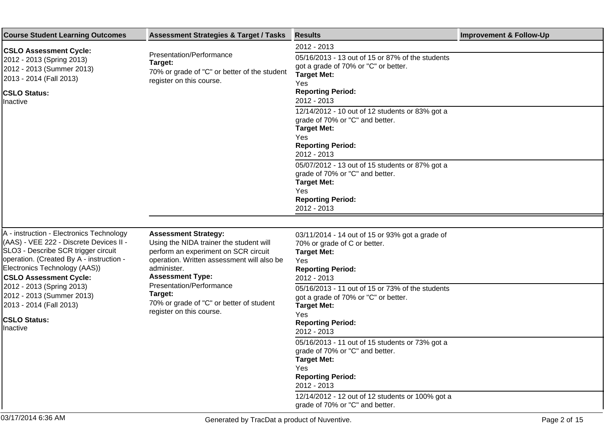| <b>Course Student Learning Outcomes</b>                                                                                                                                                                                                  | <b>Assessment Strategies &amp; Target / Tasks</b>                                                                                                                                                      | <b>Results</b>                                                                                                                                                                         | <b>Improvement &amp; Follow-Up</b> |
|------------------------------------------------------------------------------------------------------------------------------------------------------------------------------------------------------------------------------------------|--------------------------------------------------------------------------------------------------------------------------------------------------------------------------------------------------------|----------------------------------------------------------------------------------------------------------------------------------------------------------------------------------------|------------------------------------|
| <b>CSLO Assessment Cycle:</b><br>2012 - 2013 (Spring 2013)<br>2012 - 2013 (Summer 2013)<br>2013 - 2014 (Fall 2013)<br><b>CSLO Status:</b><br><b>Inactive</b>                                                                             | Presentation/Performance<br>Target:<br>70% or grade of "C" or better of the student<br>register on this course.                                                                                        | 2012 - 2013<br>05/16/2013 - 13 out of 15 or 87% of the students<br>got a grade of 70% or "C" or better.<br><b>Target Met:</b><br><b>Yes</b><br><b>Reporting Period:</b><br>2012 - 2013 |                                    |
|                                                                                                                                                                                                                                          |                                                                                                                                                                                                        | 12/14/2012 - 10 out of 12 students or 83% got a<br>grade of 70% or "C" and better.<br><b>Target Met:</b><br>Yes<br><b>Reporting Period:</b><br>2012 - 2013                             |                                    |
|                                                                                                                                                                                                                                          |                                                                                                                                                                                                        | 05/07/2012 - 13 out of 15 students or 87% got a<br>grade of 70% or "C" and better.<br><b>Target Met:</b><br>Yes<br><b>Reporting Period:</b><br>2012 - 2013                             |                                    |
|                                                                                                                                                                                                                                          |                                                                                                                                                                                                        |                                                                                                                                                                                        |                                    |
| A - instruction - Electronics Technology<br>(AAS) - VEE 222 - Discrete Devices II -<br>SLO3 - Describe SCR trigger circuit<br>operation. (Created By A - instruction -<br>Electronics Technology (AAS))<br><b>CSLO Assessment Cycle:</b> | <b>Assessment Strategy:</b><br>Using the NIDA trainer the student will<br>perform an experiment on SCR circuit<br>operation. Written assessment will also be<br>administer.<br><b>Assessment Type:</b> | 03/11/2014 - 14 out of 15 or 93% got a grade of<br>70% or grade of C or better.<br><b>Target Met:</b><br>Yes<br><b>Reporting Period:</b><br>2012 - 2013                                |                                    |
| 2012 - 2013 (Spring 2013)<br>2012 - 2013 (Summer 2013)<br>2013 - 2014 (Fall 2013)                                                                                                                                                        | Presentation/Performance<br>Target:<br>70% or grade of "C" or better of student                                                                                                                        | 05/16/2013 - 11 out of 15 or 73% of the students<br>got a grade of 70% or "C" or better.<br><b>Target Met:</b>                                                                         |                                    |
| <b>CSLO Status:</b><br><b>Inactive</b>                                                                                                                                                                                                   | register on this course.                                                                                                                                                                               | Yes<br><b>Reporting Period:</b><br>2012 - 2013                                                                                                                                         |                                    |
|                                                                                                                                                                                                                                          |                                                                                                                                                                                                        | 05/16/2013 - 11 out of 15 students or 73% got a<br>grade of 70% or "C" and better.<br><b>Target Met:</b><br>Yes<br><b>Reporting Period:</b><br>2012 - 2013                             |                                    |
|                                                                                                                                                                                                                                          |                                                                                                                                                                                                        | 12/14/2012 - 12 out of 12 students or 100% got a<br>grade of 70% or "C" and better.                                                                                                    |                                    |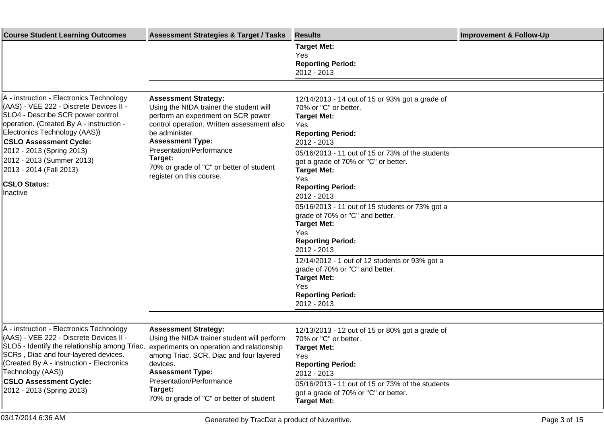| <b>Course Student Learning Outcomes</b>                                                                                                                                                                                                        | <b>Assessment Strategies &amp; Target / Tasks</b>                                                                                                                                                                                                                                                                      | <b>Results</b>                                                                                                                                            | <b>Improvement &amp; Follow-Up</b> |
|------------------------------------------------------------------------------------------------------------------------------------------------------------------------------------------------------------------------------------------------|------------------------------------------------------------------------------------------------------------------------------------------------------------------------------------------------------------------------------------------------------------------------------------------------------------------------|-----------------------------------------------------------------------------------------------------------------------------------------------------------|------------------------------------|
|                                                                                                                                                                                                                                                |                                                                                                                                                                                                                                                                                                                        | <b>Target Met:</b><br>Yes<br><b>Reporting Period:</b><br>2012 - 2013                                                                                      |                                    |
|                                                                                                                                                                                                                                                |                                                                                                                                                                                                                                                                                                                        |                                                                                                                                                           |                                    |
| A - instruction - Electronics Technology<br>(AAS) - VEE 222 - Discrete Devices II -<br>SLO4 - Describe SCR power control<br>operation. (Created By A - instruction -<br>Electronics Technology (AAS))<br><b>CSLO Assessment Cycle:</b>         | <b>Assessment Strategy:</b><br>Using the NIDA trainer the student will<br>perform an experiment on SCR power<br>control operation. Written assessment also<br>be administer.<br><b>Assessment Type:</b><br>Presentation/Performance<br>Target:<br>70% or grade of "C" or better of student<br>register on this course. | 12/14/2013 - 14 out of 15 or 93% got a grade of<br>70% or "C" or better.<br><b>Target Met:</b><br>Yes<br><b>Reporting Period:</b><br>2012 - 2013          |                                    |
| 2012 - 2013 (Spring 2013)<br>2012 - 2013 (Summer 2013)<br>2013 - 2014 (Fall 2013)                                                                                                                                                              |                                                                                                                                                                                                                                                                                                                        | 05/16/2013 - 11 out of 15 or 73% of the students<br>got a grade of 70% or "C" or better.<br><b>Target Met:</b>                                            |                                    |
| <b>CSLO Status:</b><br>Inactive                                                                                                                                                                                                                |                                                                                                                                                                                                                                                                                                                        | Yes<br><b>Reporting Period:</b><br>2012 - 2013                                                                                                            |                                    |
|                                                                                                                                                                                                                                                |                                                                                                                                                                                                                                                                                                                        | 05/16/2013 - 11 out of 15 students or 73% got a<br>grade of 70% or "C" and better.<br><b>Target Met:</b><br>Yes                                           |                                    |
|                                                                                                                                                                                                                                                |                                                                                                                                                                                                                                                                                                                        | <b>Reporting Period:</b><br>2012 - 2013                                                                                                                   |                                    |
|                                                                                                                                                                                                                                                |                                                                                                                                                                                                                                                                                                                        | 12/14/2012 - 1 out of 12 students or 93% got a<br>grade of 70% or "C" and better.<br><b>Target Met:</b><br>Yes<br><b>Reporting Period:</b><br>2012 - 2013 |                                    |
|                                                                                                                                                                                                                                                |                                                                                                                                                                                                                                                                                                                        |                                                                                                                                                           |                                    |
| A - instruction - Electronics Technology<br>(AAS) - VEE 222 - Discrete Devices II -<br>SLO5 - Identify the relationship among Triac,<br>SCRs, Diac and four-layered devices.<br>(Created By A - instruction - Electronics<br>Technology (AAS)) | <b>Assessment Strategy:</b><br>Using the NIDA trainer student will perform<br>experiments on operation and relationship<br>among Triac, SCR, Diac and four layered<br>devices.<br><b>Assessment Type:</b><br>Presentation/Performance                                                                                  | 12/13/2013 - 12 out of 15 or 80% got a grade of<br>70% or "C" or better.<br><b>Target Met:</b><br>Yes<br><b>Reporting Period:</b><br>2012 - 2013          |                                    |
| <b>CSLO Assessment Cycle:</b><br>2012 - 2013 (Spring 2013)                                                                                                                                                                                     | Target:<br>70% or grade of "C" or better of student                                                                                                                                                                                                                                                                    | 05/16/2013 - 11 out of 15 or 73% of the students<br>got a grade of 70% or "C" or better.<br><b>Target Met:</b>                                            |                                    |

03/17/2014 6:36 AM Bage 3 of 15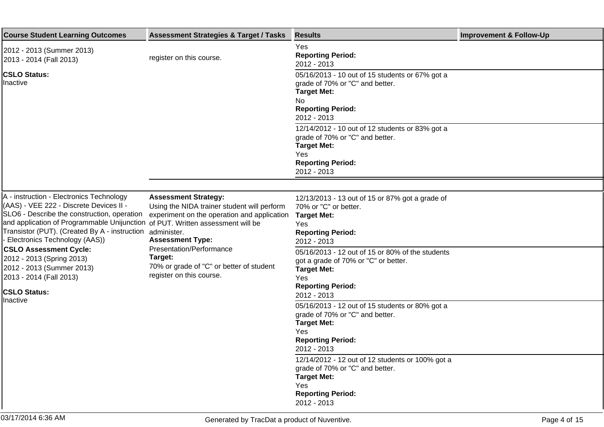| <b>Course Student Learning Outcomes</b>                                                                                                                                                                                                                                                                              | <b>Assessment Strategies &amp; Target / Tasks</b>                                                                                                    | <b>Results</b>                                                                                                                                   | <b>Improvement &amp; Follow-Up</b> |
|----------------------------------------------------------------------------------------------------------------------------------------------------------------------------------------------------------------------------------------------------------------------------------------------------------------------|------------------------------------------------------------------------------------------------------------------------------------------------------|--------------------------------------------------------------------------------------------------------------------------------------------------|------------------------------------|
| 2012 - 2013 (Summer 2013)<br>2013 - 2014 (Fall 2013)                                                                                                                                                                                                                                                                 | register on this course.                                                                                                                             | Yes<br><b>Reporting Period:</b><br>2012 - 2013                                                                                                   |                                    |
| <b>CSLO Status:</b><br>Inactive                                                                                                                                                                                                                                                                                      |                                                                                                                                                      | 05/16/2013 - 10 out of 15 students or 67% got a<br>grade of 70% or "C" and better.<br><b>Target Met:</b>                                         |                                    |
|                                                                                                                                                                                                                                                                                                                      |                                                                                                                                                      | No.<br><b>Reporting Period:</b><br>2012 - 2013                                                                                                   |                                    |
|                                                                                                                                                                                                                                                                                                                      |                                                                                                                                                      | 12/14/2012 - 10 out of 12 students or 83% got a<br>grade of 70% or "C" and better.<br><b>Target Met:</b>                                         |                                    |
|                                                                                                                                                                                                                                                                                                                      |                                                                                                                                                      | Yes<br><b>Reporting Period:</b><br>2012 - 2013                                                                                                   |                                    |
|                                                                                                                                                                                                                                                                                                                      |                                                                                                                                                      |                                                                                                                                                  |                                    |
| A - instruction - Electronics Technology<br>(AAS) - VEE 222 - Discrete Devices II -<br>SLO6 - Describe the construction, operation<br>and application of Programmable Unijunction of PUT. Written assessment will be<br>Transistor (PUT). (Created By A - instruction administer.<br>- Electronics Technology (AAS)) | <b>Assessment Strategy:</b><br>Using the NIDA trainer student will perform<br>experiment on the operation and application<br><b>Assessment Type:</b> | 12/13/2013 - 13 out of 15 or 87% got a grade of<br>70% or "C" or better.<br><b>Target Met:</b><br>Yes<br><b>Reporting Period:</b><br>2012 - 2013 |                                    |
| <b>CSLO Assessment Cycle:</b><br>2012 - 2013 (Spring 2013)<br>2012 - 2013 (Summer 2013)<br>2013 - 2014 (Fall 2013)                                                                                                                                                                                                   | Presentation/Performance<br>Target:<br>70% or grade of "C" or better of student<br>register on this course.                                          | 05/16/2013 - 12 out of 15 or 80% of the students<br>got a grade of 70% or "C" or better.<br><b>Target Met:</b><br>Yes                            |                                    |
| <b>CSLO Status:</b>                                                                                                                                                                                                                                                                                                  |                                                                                                                                                      | <b>Reporting Period:</b><br>2012 - 2013                                                                                                          |                                    |
| Inactive                                                                                                                                                                                                                                                                                                             |                                                                                                                                                      | 05/16/2013 - 12 out of 15 students or 80% got a<br>grade of 70% or "C" and better.<br><b>Target Met:</b>                                         |                                    |
|                                                                                                                                                                                                                                                                                                                      |                                                                                                                                                      | Yes<br><b>Reporting Period:</b><br>2012 - 2013                                                                                                   |                                    |
|                                                                                                                                                                                                                                                                                                                      |                                                                                                                                                      | 12/14/2012 - 12 out of 12 students or 100% got a<br>grade of 70% or "C" and better.<br><b>Target Met:</b>                                        |                                    |
|                                                                                                                                                                                                                                                                                                                      |                                                                                                                                                      | Yes<br><b>Reporting Period:</b><br>2012 - 2013                                                                                                   |                                    |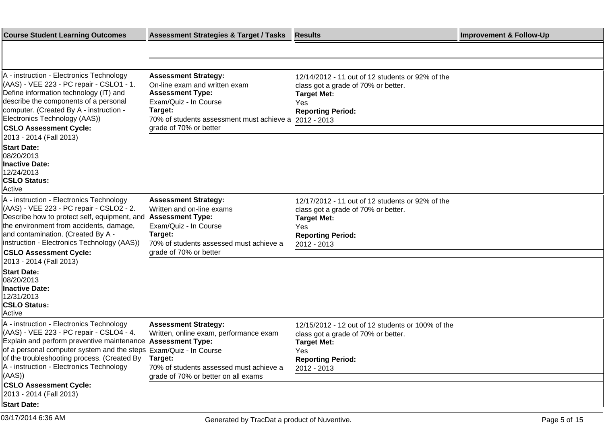| <b>Course Student Learning Outcomes</b>                                                                                                                                                                                                                                                                                                       | <b>Assessment Strategies &amp; Target / Tasks</b>                                                                                                                                                  | <b>Results</b>                                                                                                                                                   | <b>Improvement &amp; Follow-Up</b> |
|-----------------------------------------------------------------------------------------------------------------------------------------------------------------------------------------------------------------------------------------------------------------------------------------------------------------------------------------------|----------------------------------------------------------------------------------------------------------------------------------------------------------------------------------------------------|------------------------------------------------------------------------------------------------------------------------------------------------------------------|------------------------------------|
|                                                                                                                                                                                                                                                                                                                                               |                                                                                                                                                                                                    |                                                                                                                                                                  |                                    |
|                                                                                                                                                                                                                                                                                                                                               |                                                                                                                                                                                                    |                                                                                                                                                                  |                                    |
| A - instruction - Electronics Technology<br>(AAS) - VEE 223 - PC repair - CSLO1 - 1.<br>Define information technology (IT) and<br>describe the components of a personal<br>computer. (Created By A - instruction -<br>Electronics Technology (AAS))<br><b>CSLO Assessment Cycle:</b><br>2013 - 2014 (Fall 2013)                               | <b>Assessment Strategy:</b><br>On-line exam and written exam<br><b>Assessment Type:</b><br>Exam/Quiz - In Course<br>Target:<br>70% of students assessment must achieve a<br>grade of 70% or better | 12/14/2012 - 11 out of 12 students or 92% of the<br>class got a grade of 70% or better.<br><b>Target Met:</b><br>Yes<br><b>Reporting Period:</b><br>2012 - 2013  |                                    |
| <b>Start Date:</b><br>08/20/2013<br><b>Inactive Date:</b><br>12/24/2013<br><b>CSLO Status:</b><br>Active                                                                                                                                                                                                                                      |                                                                                                                                                                                                    |                                                                                                                                                                  |                                    |
| A - instruction - Electronics Technology<br>(AAS) - VEE 223 - PC repair - CSLO2 - 2.<br>Describe how to protect self, equipment, and<br>the environment from accidents, damage,<br>and contamination. (Created By A -<br>instruction - Electronics Technology (AAS))<br><b>CSLO Assessment Cycle:</b>                                         | <b>Assessment Strategy:</b><br>Written and on-line exams<br><b>Assessment Type:</b><br>Exam/Quiz - In Course<br>Target:<br>70% of students assessed must achieve a<br>grade of 70% or better       | 12/17/2012 - 11 out of 12 students or 92% of the<br>class got a grade of 70% or better.<br><b>Target Met:</b><br>Yes<br><b>Reporting Period:</b><br>2012 - 2013  |                                    |
| 2013 - 2014 (Fall 2013)<br><b>Start Date:</b><br>08/20/2013<br><b>Inactive Date:</b><br>12/31/2013<br><b>CSLO Status:</b><br>Active                                                                                                                                                                                                           |                                                                                                                                                                                                    |                                                                                                                                                                  |                                    |
| A - instruction - Electronics Technology<br>(AAS) - VEE 223 - PC repair - CSLO4 - 4.<br>Explain and perform preventive maintenance<br>of a personal computer system and the steps Exam/Quiz - In Course<br>of the troubleshooting process. (Created By<br>A - instruction - Electronics Technology<br>((AAS)<br><b>CSLO Assessment Cycle:</b> | <b>Assessment Strategy:</b><br>Written, online exam, performance exam<br><b>Assessment Type:</b><br>Target:<br>70% of students assessed must achieve a<br>grade of 70% or better on all exams      | 12/15/2012 - 12 out of 12 students or 100% of the<br>class got a grade of 70% or better.<br><b>Target Met:</b><br>Yes<br><b>Reporting Period:</b><br>2012 - 2013 |                                    |
| 2013 - 2014 (Fall 2013)                                                                                                                                                                                                                                                                                                                       |                                                                                                                                                                                                    |                                                                                                                                                                  |                                    |
| <b>Start Date:</b>                                                                                                                                                                                                                                                                                                                            |                                                                                                                                                                                                    |                                                                                                                                                                  |                                    |
| 03/17/2014 6:36 AM                                                                                                                                                                                                                                                                                                                            | Generated by TracDat a product of Nuventive.                                                                                                                                                       |                                                                                                                                                                  | Page 5 of 15                       |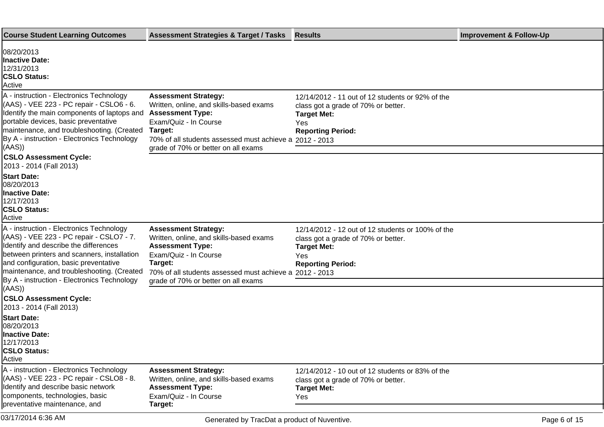| <b>Course Student Learning Outcomes</b>                                                                                                                                                                                                                                                                                                       | <b>Assessment Strategies &amp; Target / Tasks</b>                                                                                                                                                                                       | <b>Results</b>                                                                                                                                    | <b>Improvement &amp; Follow-Up</b> |
|-----------------------------------------------------------------------------------------------------------------------------------------------------------------------------------------------------------------------------------------------------------------------------------------------------------------------------------------------|-----------------------------------------------------------------------------------------------------------------------------------------------------------------------------------------------------------------------------------------|---------------------------------------------------------------------------------------------------------------------------------------------------|------------------------------------|
| 08/20/2013<br>Inactive Date:<br>12/31/2013<br><b>CSLO Status:</b><br>Active                                                                                                                                                                                                                                                                   |                                                                                                                                                                                                                                         |                                                                                                                                                   |                                    |
| A - instruction - Electronics Technology<br>(AAS) - VEE 223 - PC repair - CSLO6 - 6.<br>Identify the main components of laptops and<br>portable devices, basic preventative<br>maintenance, and troubleshooting. (Created<br>By A - instruction - Electronics Technology<br>(AAS)<br><b>CSLO Assessment Cycle:</b><br>2013 - 2014 (Fall 2013) | <b>Assessment Strategy:</b><br>Written, online, and skills-based exams<br><b>Assessment Type:</b><br>Exam/Quiz - In Course<br>Target:<br>70% of all students assessed must achieve a 2012 - 2013<br>grade of 70% or better on all exams | 12/14/2012 - 11 out of 12 students or 92% of the<br>class got a grade of 70% or better.<br><b>Target Met:</b><br>Yes<br><b>Reporting Period:</b>  |                                    |
| <b>Start Date:</b><br>08/20/2013<br><b>Inactive Date:</b><br>12/17/2013<br><b>CSLO Status:</b><br>Active                                                                                                                                                                                                                                      |                                                                                                                                                                                                                                         |                                                                                                                                                   |                                    |
| A - instruction - Electronics Technology<br>(AAS) - VEE 223 - PC repair - CSLO7 - 7.<br>Identify and describe the differences<br>between printers and scanners, installation<br>and configuration, basic preventative<br>maintenance, and troubleshooting. (Created<br>By A - instruction - Electronics Technology                            | <b>Assessment Strategy:</b><br>Written, online, and skills-based exams<br><b>Assessment Type:</b><br>Exam/Quiz - In Course<br>Target:<br>70% of all students assessed must achieve a 2012 - 2013<br>grade of 70% or better on all exams | 12/14/2012 - 12 out of 12 students or 100% of the<br>class got a grade of 70% or better.<br><b>Target Met:</b><br>Yes<br><b>Reporting Period:</b> |                                    |
| ((AAS)<br><b>CSLO Assessment Cycle:</b><br>2013 - 2014 (Fall 2013)                                                                                                                                                                                                                                                                            |                                                                                                                                                                                                                                         |                                                                                                                                                   |                                    |
| <b>Start Date:</b><br>08/20/2013<br><b>Inactive Date:</b><br>12/17/2013<br><b>CSLO Status:</b><br>Active                                                                                                                                                                                                                                      |                                                                                                                                                                                                                                         |                                                                                                                                                   |                                    |
| A - instruction - Electronics Technology<br>(AAS) - VEE 223 - PC repair - CSLO8 - 8.<br>Identify and describe basic network<br>components, technologies, basic<br>preventative maintenance, and                                                                                                                                               | <b>Assessment Strategy:</b><br>Written, online, and skills-based exams<br><b>Assessment Type:</b><br>Exam/Quiz - In Course<br>Target:                                                                                                   | 12/14/2012 - 10 out of 12 students or 83% of the<br>class got a grade of 70% or better.<br><b>Target Met:</b><br>Yes                              |                                    |
| 03/17/2014 6:36 AM                                                                                                                                                                                                                                                                                                                            | Generated by TracDat a product of Nuventive.                                                                                                                                                                                            |                                                                                                                                                   | Page 6 of 15                       |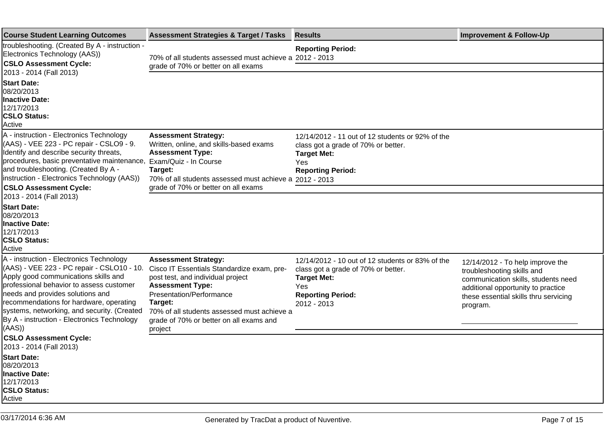| <b>Course Student Learning Outcomes</b>                                                                                                                                                                                                                                                                                                                            | <b>Assessment Strategies &amp; Target / Tasks</b>                                                                                                                                                                                                                                     | <b>Results</b>                                                                                                                                                  | <b>Improvement &amp; Follow-Up</b>                                                                                                                                                               |
|--------------------------------------------------------------------------------------------------------------------------------------------------------------------------------------------------------------------------------------------------------------------------------------------------------------------------------------------------------------------|---------------------------------------------------------------------------------------------------------------------------------------------------------------------------------------------------------------------------------------------------------------------------------------|-----------------------------------------------------------------------------------------------------------------------------------------------------------------|--------------------------------------------------------------------------------------------------------------------------------------------------------------------------------------------------|
| troubleshooting. (Created By A - instruction -<br>Electronics Technology (AAS))<br><b>CSLO Assessment Cycle:</b><br>2013 - 2014 (Fall 2013)                                                                                                                                                                                                                        | 70% of all students assessed must achieve a 2012 - 2013<br>grade of 70% or better on all exams                                                                                                                                                                                        | <b>Reporting Period:</b>                                                                                                                                        |                                                                                                                                                                                                  |
| <b>Start Date:</b><br>08/20/2013<br>Inactive Date:<br>12/17/2013<br><b>CSLO Status:</b><br>Active                                                                                                                                                                                                                                                                  |                                                                                                                                                                                                                                                                                       |                                                                                                                                                                 |                                                                                                                                                                                                  |
| A - instruction - Electronics Technology<br>(AAS) - VEE 223 - PC repair - CSLO9 - 9.<br>Identify and describe security threats,<br>procedures, basic preventative maintenance,<br>and troubleshooting. (Created By A -<br>linstruction - Electronics Technology (AAS))                                                                                             | <b>Assessment Strategy:</b><br>Written, online, and skills-based exams<br><b>Assessment Type:</b><br>Exam/Quiz - In Course<br>Target:<br>70% of all students assessed must achieve a 2012 - 2013                                                                                      | 12/14/2012 - 11 out of 12 students or 92% of the<br>class got a grade of 70% or better.<br><b>Target Met:</b><br>Yes<br><b>Reporting Period:</b>                |                                                                                                                                                                                                  |
| <b>CSLO Assessment Cycle:</b><br>2013 - 2014 (Fall 2013)                                                                                                                                                                                                                                                                                                           | grade of 70% or better on all exams                                                                                                                                                                                                                                                   |                                                                                                                                                                 |                                                                                                                                                                                                  |
| <b>Start Date:</b><br>08/20/2013<br><b>Inactive Date:</b><br>12/17/2013<br><b>CSLO Status:</b><br>Active                                                                                                                                                                                                                                                           |                                                                                                                                                                                                                                                                                       |                                                                                                                                                                 |                                                                                                                                                                                                  |
| A - instruction - Electronics Technology<br>(AAS) - VEE 223 - PC repair - CSLO10 - 10.<br>Apply good communications skills and<br>professional behavior to assess customer<br>needs and provides solutions and<br>recommendations for hardware, operating<br>systems, networking, and security. (Created<br>By A - instruction - Electronics Technology<br>((AAS)) | <b>Assessment Strategy:</b><br>Cisco IT Essentials Standardize exam, pre-<br>post test, and individual project<br><b>Assessment Type:</b><br>Presentation/Performance<br>Target:<br>70% of all students assessed must achieve a<br>grade of 70% or better on all exams and<br>project | 12/14/2012 - 10 out of 12 students or 83% of the<br>class got a grade of 70% or better.<br><b>Target Met:</b><br>Yes<br><b>Reporting Period:</b><br>2012 - 2013 | 12/14/2012 - To help improve the<br>troubleshooting skills and<br>communication skills, students need<br>additional opportunity to practice<br>these essential skills thru servicing<br>program. |
| <b>CSLO Assessment Cycle:</b><br>2013 - 2014 (Fall 2013)                                                                                                                                                                                                                                                                                                           |                                                                                                                                                                                                                                                                                       |                                                                                                                                                                 |                                                                                                                                                                                                  |
| <b>Start Date:</b><br>08/20/2013<br>Inactive Date:<br>12/17/2013<br><b>CSLO Status:</b><br>Active                                                                                                                                                                                                                                                                  |                                                                                                                                                                                                                                                                                       |                                                                                                                                                                 |                                                                                                                                                                                                  |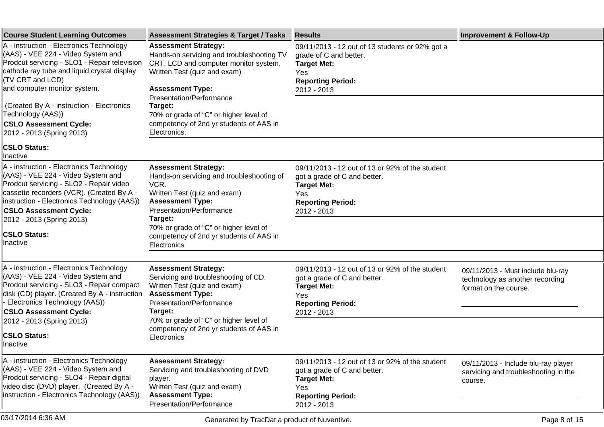| <b>Course Student Learning Outcomes</b>                                                                                                                                                                                                                                                                                | <b>Assessment Strategies &amp; Target / Tasks</b>                                                                                                                                                                                                                                      | <b>Results</b>                                                                                                                                          | <b>Improvement &amp; Follow-Up</b>                                                            |
|------------------------------------------------------------------------------------------------------------------------------------------------------------------------------------------------------------------------------------------------------------------------------------------------------------------------|----------------------------------------------------------------------------------------------------------------------------------------------------------------------------------------------------------------------------------------------------------------------------------------|---------------------------------------------------------------------------------------------------------------------------------------------------------|-----------------------------------------------------------------------------------------------|
| A - instruction - Electronics Technology<br>(AAS) - VEE 224 - Video System and<br>Prodcut servicing - SLO1 - Repair television<br>cathode ray tube and liquid crystal display<br>(TV CRT and LCD)<br>and computer monitor system.                                                                                      | <b>Assessment Strategy:</b><br>Hands-on servicing and troubleshooting TV<br>CRT, LCD and computer monitor system.<br>Written Test (quiz and exam)<br><b>Assessment Type:</b>                                                                                                           | 09/11/2013 - 12 out of 13 students or 92% got a<br>grade of C and better.<br><b>Target Met:</b><br>Yes<br><b>Reporting Period:</b><br>2012 - 2013       |                                                                                               |
| (Created By A - instruction - Electronics<br>Technology (AAS))<br><b>CSLO Assessment Cycle:</b><br>2012 - 2013 (Spring 2013)                                                                                                                                                                                           | Presentation/Performance<br>Target:<br>70% or grade of "C" or higher level of<br>competency of 2nd yr students of AAS in<br>Electronics.                                                                                                                                               |                                                                                                                                                         |                                                                                               |
| <b>CSLO Status:</b><br>Ilnactive                                                                                                                                                                                                                                                                                       |                                                                                                                                                                                                                                                                                        |                                                                                                                                                         |                                                                                               |
| A - instruction - Electronics Technology<br>(AAS) - VEE 224 - Video System and<br>Prodcut servicing - SLO2 - Repair video<br>cassette recorders (VCR). (Created By A -<br>instruction - Electronics Technology (AAS))<br><b>CSLO Assessment Cycle:</b><br>2012 - 2013 (Spring 2013)<br><b>CSLO Status:</b><br>Inactive | <b>Assessment Strategy:</b><br>Hands-on servicing and troubleshooting of<br>VCR.<br>Written Test (quiz and exam)<br><b>Assessment Type:</b><br>Presentation/Performance<br>Target:<br>70% or grade of "C" or higher level of<br>competency of 2nd yr students of AAS in<br>Electronics | 09/11/2013 - 12 out of 13 or 92% of the student<br>got a grade of C and better.<br><b>Target Met:</b><br>Yes<br><b>Reporting Period:</b><br>2012 - 2013 |                                                                                               |
|                                                                                                                                                                                                                                                                                                                        |                                                                                                                                                                                                                                                                                        |                                                                                                                                                         |                                                                                               |
| A - instruction - Electronics Technology<br>(AAS) - VEE 224 - Video System and<br>Prodcut servicing - SLO3 - Repair compact<br>disk (CD) player. (Created By A - instruction<br>- Electronics Technology (AAS))<br><b>CSLO Assessment Cycle:</b><br>2012 - 2013 (Spring 2013)                                          | <b>Assessment Strategy:</b><br>Servicing and troubleshooting of CD.<br>Written Test (quiz and exam)<br><b>Assessment Type:</b><br>Presentation/Performance<br>Target:<br>70% or grade of "C" or higher level of<br>competency of 2nd yr students of AAS in                             | 09/11/2013 - 12 out of 13 or 92% of the student<br>got a grade of C and better.<br><b>Target Met:</b><br>Yes<br><b>Reporting Period:</b><br>2012 - 2013 | 09/11/2013 - Must include blu-ray<br>technology as another recording<br>format on the course. |
| <b>CSLO Status:</b><br>Inactive                                                                                                                                                                                                                                                                                        | Electronics                                                                                                                                                                                                                                                                            |                                                                                                                                                         |                                                                                               |
| A - instruction - Electronics Technology<br>(AAS) - VEE 224 - Video System and<br>Prodcut servicing - SLO4 - Repair digital<br>video disc (DVD) player. (Created By A -<br>instruction - Electronics Technology (AAS))                                                                                                 | <b>Assessment Strategy:</b><br>Servicing and troubleshooting of DVD<br>player.<br>Written Test (quiz and exam)<br><b>Assessment Type:</b><br>Presentation/Performance                                                                                                                  | 09/11/2013 - 12 out of 13 or 92% of the student<br>got a grade of C and better.<br><b>Target Met:</b><br>Yes<br><b>Reporting Period:</b><br>2012 - 2013 | 09/11/2013 - Include blu-ray player<br>servicing and troubleshooting in the<br>course.        |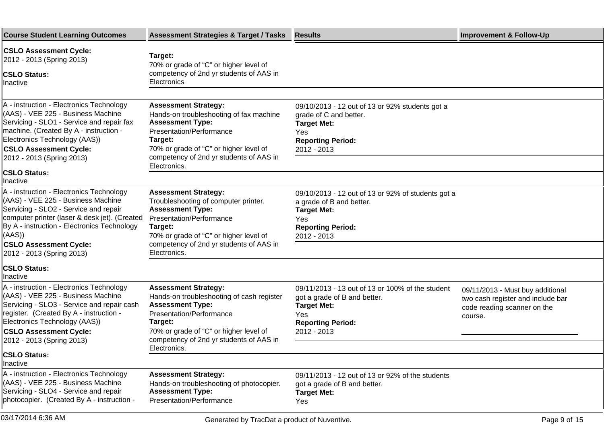| <b>Course Student Learning Outcomes</b>                                                                                                                                                                                                                                                        | <b>Assessment Strategies &amp; Target / Tasks</b>                                                                                                                                                                                               | <b>Results</b>                                                                                                                                           | <b>Improvement &amp; Follow-Up</b>                                                                              |
|------------------------------------------------------------------------------------------------------------------------------------------------------------------------------------------------------------------------------------------------------------------------------------------------|-------------------------------------------------------------------------------------------------------------------------------------------------------------------------------------------------------------------------------------------------|----------------------------------------------------------------------------------------------------------------------------------------------------------|-----------------------------------------------------------------------------------------------------------------|
| <b>CSLO Assessment Cycle:</b><br>2012 - 2013 (Spring 2013)<br><b>CSLO Status:</b><br>Inactive                                                                                                                                                                                                  | Target:<br>70% or grade of "C" or higher level of<br>competency of 2nd yr students of AAS in<br>Electronics                                                                                                                                     |                                                                                                                                                          |                                                                                                                 |
| A - instruction - Electronics Technology<br>(AAS) - VEE 225 - Business Machine<br>Servicing - SLO1 - Service and repair fax<br>machine. (Created By A - instruction -<br>Electronics Technology (AAS))<br><b>CSLO Assessment Cycle:</b><br>2012 - 2013 (Spring 2013)                           | <b>Assessment Strategy:</b><br>Hands-on troubleshooting of fax machine<br><b>Assessment Type:</b><br>Presentation/Performance<br>Target:<br>70% or grade of "C" or higher level of<br>competency of 2nd yr students of AAS in<br>Electronics.   | 09/10/2013 - 12 out of 13 or 92% students got a<br>grade of C and better.<br><b>Target Met:</b><br>Yes<br><b>Reporting Period:</b><br>2012 - 2013        |                                                                                                                 |
| <b>CSLO Status:</b><br>Inactive                                                                                                                                                                                                                                                                |                                                                                                                                                                                                                                                 |                                                                                                                                                          |                                                                                                                 |
| A - instruction - Electronics Technology<br>(AAS) - VEE 225 - Business Machine<br>Servicing - SLO2 - Service and repair<br>computer printer (laser & desk jet). (Created<br>By A - instruction - Electronics Technology<br>(AAS)<br><b>CSLO Assessment Cycle:</b><br>2012 - 2013 (Spring 2013) | <b>Assessment Strategy:</b><br>Troubleshooting of computer printer.<br><b>Assessment Type:</b><br>Presentation/Performance<br>Target:<br>70% or grade of "C" or higher level of<br>competency of 2nd yr students of AAS in<br>Electronics.      | 09/10/2013 - 12 out of 13 or 92% of students got a<br>a grade of B and better.<br><b>Target Met:</b><br>Yes<br><b>Reporting Period:</b><br>2012 - 2013   |                                                                                                                 |
| <b>CSLO Status:</b><br>Inactive                                                                                                                                                                                                                                                                |                                                                                                                                                                                                                                                 |                                                                                                                                                          |                                                                                                                 |
| A - instruction - Electronics Technology<br>(AAS) - VEE 225 - Business Machine<br>Servicing - SLO3 - Service and repair cash<br>register. (Created By A - instruction -<br>Electronics Technology (AAS))<br><b>CSLO Assessment Cycle:</b><br>2012 - 2013 (Spring 2013)                         | <b>Assessment Strategy:</b><br>Hands-on troubleshooting of cash register<br><b>Assessment Type:</b><br>Presentation/Performance<br>Target:<br>70% or grade of "C" or higher level of<br>competency of 2nd yr students of AAS in<br>Electronics. | 09/11/2013 - 13 out of 13 or 100% of the student<br>got a grade of B and better.<br><b>Target Met:</b><br>Yes<br><b>Reporting Period:</b><br>2012 - 2013 | 09/11/2013 - Must buy additional<br>two cash register and include bar<br>code reading scanner on the<br>course. |
| <b>CSLO Status:</b><br>Inactive                                                                                                                                                                                                                                                                |                                                                                                                                                                                                                                                 |                                                                                                                                                          |                                                                                                                 |
| A - instruction - Electronics Technology<br>(AAS) - VEE 225 - Business Machine<br>Servicing - SLO4 - Service and repair<br>photocopier. (Created By A - instruction -                                                                                                                          | <b>Assessment Strategy:</b><br>Hands-on troubleshooting of photocopier.<br><b>Assessment Type:</b><br>Presentation/Performance                                                                                                                  | 09/11/2013 - 12 out of 13 or 92% of the students<br>got a grade of B and better.<br><b>Target Met:</b><br>Yes                                            |                                                                                                                 |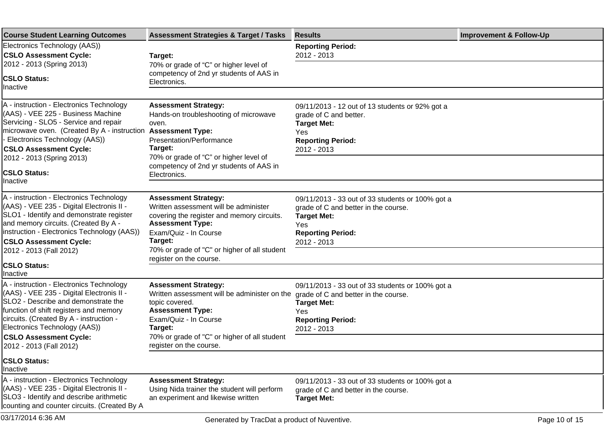| <b>Course Student Learning Outcomes</b>                                                                                                                                                                                                                                                                        | <b>Assessment Strategies &amp; Target / Tasks</b>                                                                                                                                                                                       | <b>Results</b>                                                                                                                                                   | <b>Improvement &amp; Follow-Up</b> |
|----------------------------------------------------------------------------------------------------------------------------------------------------------------------------------------------------------------------------------------------------------------------------------------------------------------|-----------------------------------------------------------------------------------------------------------------------------------------------------------------------------------------------------------------------------------------|------------------------------------------------------------------------------------------------------------------------------------------------------------------|------------------------------------|
| Electronics Technology (AAS))                                                                                                                                                                                                                                                                                  |                                                                                                                                                                                                                                         | <b>Reporting Period:</b>                                                                                                                                         |                                    |
| <b>CSLO Assessment Cycle:</b><br>2012 - 2013 (Spring 2013)                                                                                                                                                                                                                                                     | Target:<br>70% or grade of "C" or higher level of                                                                                                                                                                                       | 2012 - 2013                                                                                                                                                      |                                    |
| <b>CSLO Status:</b><br>Inactive                                                                                                                                                                                                                                                                                | competency of 2nd yr students of AAS in<br>Electronics.                                                                                                                                                                                 |                                                                                                                                                                  |                                    |
|                                                                                                                                                                                                                                                                                                                |                                                                                                                                                                                                                                         |                                                                                                                                                                  |                                    |
| A - instruction - Electronics Technology<br>(AAS) - VEE 225 - Business Machine<br>Servicing - SLO5 - Service and repair<br>microwave oven. (Created By A - instruction Assessment Type:<br>- Electronics Technology (AAS))<br><b>CSLO Assessment Cycle:</b>                                                    | <b>Assessment Strategy:</b><br>Hands-on troubleshooting of microwave<br>oven.<br>Presentation/Performance<br>Target:                                                                                                                    | 09/11/2013 - 12 out of 13 students or 92% got a<br>grade of C and better.<br><b>Target Met:</b><br>Yes<br><b>Reporting Period:</b><br>2012 - 2013                |                                    |
| 2012 - 2013 (Spring 2013)                                                                                                                                                                                                                                                                                      | 70% or grade of "C" or higher level of<br>competency of 2nd yr students of AAS in                                                                                                                                                       |                                                                                                                                                                  |                                    |
| <b>CSLO Status:</b><br>Ilnactive                                                                                                                                                                                                                                                                               | Electronics.                                                                                                                                                                                                                            |                                                                                                                                                                  |                                    |
| A - instruction - Electronics Technology<br>(AAS) - VEE 235 - Digital Electronis II -<br>SLO1 - Identify and demonstrate register<br>and memory circuits. (Created By A -<br>instruction - Electronics Technology (AAS))<br><b>CSLO Assessment Cycle:</b><br>2012 - 2013 (Fall 2012)                           | <b>Assessment Strategy:</b><br>Written assessment will be administer<br>covering the register and memory circuits.<br><b>Assessment Type:</b><br>Exam/Quiz - In Course<br>Target:<br>70% or grade of "C" or higher of all student       | 09/11/2013 - 33 out of 33 students or 100% got a<br>grade of C and better in the course.<br><b>Target Met:</b><br>Yes<br><b>Reporting Period:</b><br>2012 - 2013 |                                    |
| <b>CSLO Status:</b><br>Inactive                                                                                                                                                                                                                                                                                | register on the course.                                                                                                                                                                                                                 |                                                                                                                                                                  |                                    |
| A - instruction - Electronics Technology<br>(AAS) - VEE 235 - Digital Electronis II -<br>SLO2 - Describe and demonstrate the<br>function of shift registers and memory<br>circuits. (Created By A - instruction -<br>Electronics Technology (AAS))<br><b>CSLO Assessment Cycle:</b><br>2012 - 2013 (Fall 2012) | <b>Assessment Strategy:</b><br>Written assessment will be administer on the<br>topic covered.<br><b>Assessment Type:</b><br>Exam/Quiz - In Course<br>Target:<br>70% or grade of "C" or higher of all student<br>register on the course. | 09/11/2013 - 33 out of 33 students or 100% got a<br>grade of C and better in the course.<br><b>Target Met:</b><br>Yes<br><b>Reporting Period:</b><br>2012 - 2013 |                                    |
| <b>CSLO Status:</b><br>Inactive                                                                                                                                                                                                                                                                                |                                                                                                                                                                                                                                         |                                                                                                                                                                  |                                    |
| A - instruction - Electronics Technology<br>(AAS) - VEE 235 - Digital Electronis II -<br>SLO3 - Identify and describe arithmetic<br>counting and counter circuits. (Created By A                                                                                                                               | <b>Assessment Strategy:</b><br>Using Nida trainer the student will perform<br>an experiment and likewise written                                                                                                                        | 09/11/2013 - 33 out of 33 students or 100% got a<br>grade of C and better in the course.<br><b>Target Met:</b>                                                   |                                    |
| 03/17/2014 6:36 AM                                                                                                                                                                                                                                                                                             | Generated by TracDat a product of Nuventive.                                                                                                                                                                                            |                                                                                                                                                                  | Page 10 of 15                      |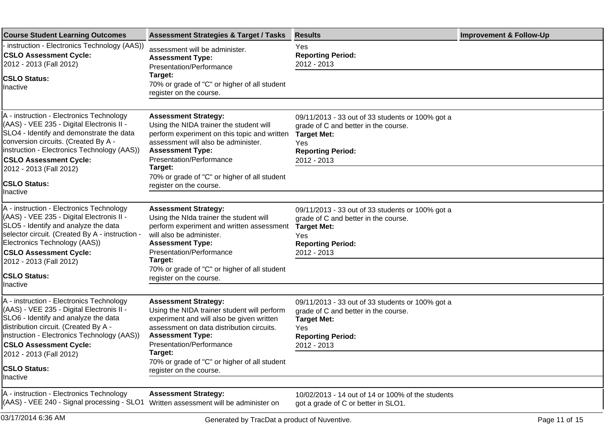| <b>Course Student Learning Outcomes</b>                                                                                                                                                                                                                   | <b>Assessment Strategies &amp; Target / Tasks</b>                                                                                                                                                                           | <b>Results</b>                                                                                                                                                   | <b>Improvement &amp; Follow-Up</b> |
|-----------------------------------------------------------------------------------------------------------------------------------------------------------------------------------------------------------------------------------------------------------|-----------------------------------------------------------------------------------------------------------------------------------------------------------------------------------------------------------------------------|------------------------------------------------------------------------------------------------------------------------------------------------------------------|------------------------------------|
| instruction - Electronics Technology (AAS))<br><b>CSLO Assessment Cycle:</b><br>2012 - 2013 (Fall 2012)                                                                                                                                                   | assessment will be administer.<br><b>Assessment Type:</b><br>Presentation/Performance                                                                                                                                       | Yes<br><b>Reporting Period:</b><br>2012 - 2013                                                                                                                   |                                    |
| <b>CSLO Status:</b><br>Inactive                                                                                                                                                                                                                           | Target:<br>70% or grade of "C" or higher of all student<br>register on the course.                                                                                                                                          |                                                                                                                                                                  |                                    |
|                                                                                                                                                                                                                                                           |                                                                                                                                                                                                                             |                                                                                                                                                                  |                                    |
| A - instruction - Electronics Technology<br>(AAS) - VEE 235 - Digital Electronis II -<br>SLO4 - Identify and demonstrate the data<br>conversion circuits. (Created By A -<br>instruction - Electronics Technology (AAS))<br><b>CSLO Assessment Cycle:</b> | <b>Assessment Strategy:</b><br>Using the NIDA trainer the student will<br>perform experiment on this topic and written<br>assessment will also be administer.<br><b>Assessment Type:</b><br>Presentation/Performance        | 09/11/2013 - 33 out of 33 students or 100% got a<br>grade of C and better in the course.<br><b>Target Met:</b><br>Yes<br><b>Reporting Period:</b><br>2012 - 2013 |                                    |
| 2012 - 2013 (Fall 2012)                                                                                                                                                                                                                                   | Target:<br>70% or grade of "C" or higher of all student                                                                                                                                                                     |                                                                                                                                                                  |                                    |
| <b>CSLO Status:</b><br>llnactive                                                                                                                                                                                                                          | register on the course.                                                                                                                                                                                                     |                                                                                                                                                                  |                                    |
| A - instruction - Electronics Technology<br>(AAS) - VEE 235 - Digital Electronis II -<br>SLO5 - Identify and analyze the data<br>selector circuit. (Created By A - instruction -<br>Electronics Technology (AAS))<br><b>CSLO Assessment Cycle:</b>        | <b>Assessment Strategy:</b><br>Using the NIda trainer the student will<br>perform experiment and written assessment<br>will also be administer.<br><b>Assessment Type:</b><br>Presentation/Performance                      | 09/11/2013 - 33 out of 33 students or 100% got a<br>grade of C and better in the course.<br><b>Target Met:</b><br>Yes<br><b>Reporting Period:</b><br>2012 - 2013 |                                    |
| 2012 - 2013 (Fall 2012)<br><b>CSLO Status:</b>                                                                                                                                                                                                            | Target:<br>70% or grade of "C" or higher of all student<br>register on the course.                                                                                                                                          |                                                                                                                                                                  |                                    |
| Inactive                                                                                                                                                                                                                                                  |                                                                                                                                                                                                                             |                                                                                                                                                                  |                                    |
| A - instruction - Electronics Technology<br>(AAS) - VEE 235 - Digital Electronis II -<br>SLO6 - Identify and analyze the data<br>distribution circuit. (Created By A -<br>instruction - Electronics Technology (AAS))<br><b>CSLO Assessment Cycle:</b>    | <b>Assessment Strategy:</b><br>Using the NIDA trainer student will perform<br>experiment and will also be given written<br>assessment on data distribution circuits.<br><b>Assessment Type:</b><br>Presentation/Performance | 09/11/2013 - 33 out of 33 students or 100% got a<br>grade of C and better in the course.<br><b>Target Met:</b><br>Yes<br><b>Reporting Period:</b><br>2012 - 2013 |                                    |
| 2012 - 2013 (Fall 2012)                                                                                                                                                                                                                                   | Target:<br>70% or grade of "C" or higher of all student                                                                                                                                                                     |                                                                                                                                                                  |                                    |
| <b>CSLO Status:</b><br>Inactive                                                                                                                                                                                                                           | register on the course.                                                                                                                                                                                                     |                                                                                                                                                                  |                                    |
| A - instruction - Electronics Technology<br>(AAS) - VEE 240 - Signal processing - SLO1                                                                                                                                                                    | <b>Assessment Strategy:</b><br>Written assessment will be administer on                                                                                                                                                     | 10/02/2013 - 14 out of 14 or 100% of the students<br>got a grade of C or better in SLO1.                                                                         |                                    |
| 03/17/2014 6:36 AM                                                                                                                                                                                                                                        | Generated by TracDat a product of Nuventive.                                                                                                                                                                                |                                                                                                                                                                  | Page 11 of 15                      |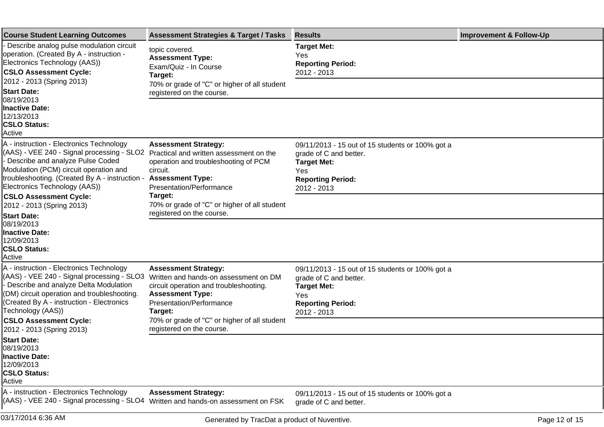| <b>Course Student Learning Outcomes</b>                                                                                                                                                                                                                   | <b>Assessment Strategies &amp; Target / Tasks</b>                                                                                                                                        | <b>Results</b>                                                                                                                                     | <b>Improvement &amp; Follow-Up</b> |
|-----------------------------------------------------------------------------------------------------------------------------------------------------------------------------------------------------------------------------------------------------------|------------------------------------------------------------------------------------------------------------------------------------------------------------------------------------------|----------------------------------------------------------------------------------------------------------------------------------------------------|------------------------------------|
| Describe analog pulse modulation circuit<br>operation. (Created By A - instruction -<br>Electronics Technology (AAS))<br><b>CSLO Assessment Cycle:</b>                                                                                                    | topic covered.<br><b>Assessment Type:</b><br>Exam/Quiz - In Course<br>Target:                                                                                                            | <b>Target Met:</b><br>Yes<br><b>Reporting Period:</b><br>2012 - 2013                                                                               |                                    |
| 2012 - 2013 (Spring 2013)<br><b>Start Date:</b><br>08/19/2013                                                                                                                                                                                             | 70% or grade of "C" or higher of all student<br>registered on the course.                                                                                                                |                                                                                                                                                    |                                    |
| <b>Inactive Date:</b><br>12/13/2013<br><b>CSLO Status:</b><br>Active                                                                                                                                                                                      |                                                                                                                                                                                          |                                                                                                                                                    |                                    |
| A - instruction - Electronics Technology<br>(AAS) - VEE 240 - Signal processing - SLO2<br>- Describe and analyze Pulse Coded<br>Modulation (PCM) circuit operation and<br>troubleshooting. (Created By A - instruction -<br>Electronics Technology (AAS)) | <b>Assessment Strategy:</b><br>Practical and written assessment on the<br>operation and troubleshooting of PCM<br>circuit.<br><b>Assessment Type:</b><br><b>Presentation/Performance</b> | 09/11/2013 - 15 out of 15 students or 100% got a<br>grade of C and better.<br><b>Target Met:</b><br>Yes<br><b>Reporting Period:</b><br>2012 - 2013 |                                    |
| <b>CSLO Assessment Cycle:</b><br>2012 - 2013 (Spring 2013)                                                                                                                                                                                                | Target:<br>70% or grade of "C" or higher of all student                                                                                                                                  |                                                                                                                                                    |                                    |
| <b>Start Date:</b><br>08/19/2013<br><b>Inactive Date:</b><br>12/09/2013<br><b>CSLO Status:</b><br>Active                                                                                                                                                  | registered on the course.                                                                                                                                                                |                                                                                                                                                    |                                    |
| A - instruction - Electronics Technology<br>(AAS) - VEE 240 - Signal processing - SLO3<br>- Describe and analyze Delta Modulation<br>(DM) circuit operation and troubleshooting.<br>(Created By A - instruction - Electronics<br>Technology (AAS))        | <b>Assessment Strategy:</b><br>Written and hands-on assessment on DM<br>circuit operation and troubleshooting.<br><b>Assessment Type:</b><br><b>Presentation/Performance</b><br>Target:  | 09/11/2013 - 15 out of 15 students or 100% got a<br>grade of C and better.<br><b>Target Met:</b><br>Yes<br><b>Reporting Period:</b><br>2012 - 2013 |                                    |
| <b>CSLO Assessment Cycle:</b><br>2012 - 2013 (Spring 2013)                                                                                                                                                                                                | 70% or grade of "C" or higher of all student<br>registered on the course.                                                                                                                |                                                                                                                                                    |                                    |
| <b>Start Date:</b><br>08/19/2013<br><b>Inactive Date:</b><br>12/09/2013<br><b>CSLO Status:</b><br>Active                                                                                                                                                  |                                                                                                                                                                                          |                                                                                                                                                    |                                    |
| A - instruction - Electronics Technology<br>(AAS) - VEE 240 - Signal processing - SLO4                                                                                                                                                                    | <b>Assessment Strategy:</b><br>Written and hands-on assessment on FSK                                                                                                                    | 09/11/2013 - 15 out of 15 students or 100% got a<br>grade of C and better.                                                                         |                                    |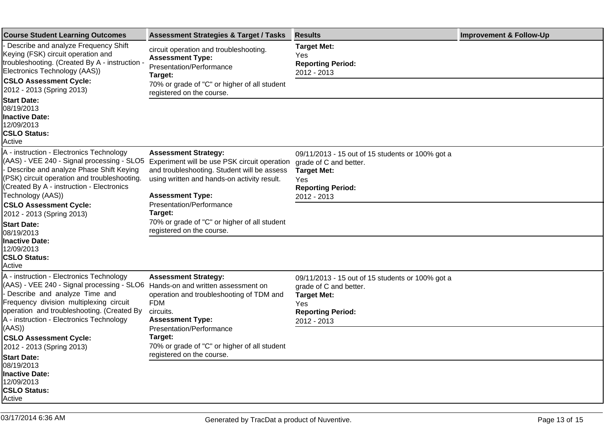| <b>Course Student Learning Outcomes</b>                                                                                                                                                                                                                                                                                                                                                                                              | <b>Assessment Strategies &amp; Target / Tasks</b>                                                                                                                                                    | <b>Results</b>                                                                                                                                            | <b>Improvement &amp; Follow-Up</b> |
|--------------------------------------------------------------------------------------------------------------------------------------------------------------------------------------------------------------------------------------------------------------------------------------------------------------------------------------------------------------------------------------------------------------------------------------|------------------------------------------------------------------------------------------------------------------------------------------------------------------------------------------------------|-----------------------------------------------------------------------------------------------------------------------------------------------------------|------------------------------------|
| - Describe and analyze Frequency Shift<br>Keying (FSK) circuit operation and<br>troubleshooting. (Created By A - instruction -<br>Electronics Technology (AAS))<br><b>CSLO Assessment Cycle:</b><br>2012 - 2013 (Spring 2013)<br><b>Start Date:</b><br>08/19/2013<br> Inactive Date:<br>12/09/2013<br><b>CSLO Status:</b><br>Active                                                                                                  | circuit operation and troubleshooting.<br><b>Assessment Type:</b><br>Presentation/Performance<br>Target:<br>70% or grade of "C" or higher of all student<br>registered on the course.                | <b>Target Met:</b><br>Yes<br><b>Reporting Period:</b><br>2012 - 2013                                                                                      |                                    |
|                                                                                                                                                                                                                                                                                                                                                                                                                                      |                                                                                                                                                                                                      |                                                                                                                                                           |                                    |
|                                                                                                                                                                                                                                                                                                                                                                                                                                      |                                                                                                                                                                                                      |                                                                                                                                                           |                                    |
| A - instruction - Electronics Technology<br>(AAS) - VEE 240 - Signal processing - SLO5<br>- Describe and analyze Phase Shift Keying<br>(PSK) circuit operation and troubleshooting.<br>(Created By A - instruction - Electronics<br>Technology (AAS))                                                                                                                                                                                | <b>Assessment Strategy:</b><br>Experiment will be use PSK circuit operation<br>and troubleshooting. Student will be assess<br>using written and hands-on activity result.<br><b>Assessment Type:</b> | 09/11/2013 - 15 out of 15 students or 100% got a<br>grade of C and better.<br><b>Target Met:</b><br>Yes<br><b>Reporting Period:</b><br>2012 - 2013        |                                    |
| <b>CSLO Assessment Cycle:</b><br>2012 - 2013 (Spring 2013)                                                                                                                                                                                                                                                                                                                                                                           | Presentation/Performance<br>Target:                                                                                                                                                                  |                                                                                                                                                           |                                    |
| <b>Start Date:</b><br>08/19/2013<br><b>Inactive Date:</b><br>12/09/2013<br><b>CSLO Status:</b><br>Active                                                                                                                                                                                                                                                                                                                             | 70% or grade of "C" or higher of all student<br>registered on the course.                                                                                                                            |                                                                                                                                                           |                                    |
|                                                                                                                                                                                                                                                                                                                                                                                                                                      |                                                                                                                                                                                                      |                                                                                                                                                           |                                    |
| A - instruction - Electronics Technology<br>(AAS) - VEE 240 - Signal processing - SLO6 Hands-on and written assessment on<br>- Describe and analyze Time and<br>Frequency division multiplexing circuit<br><b>FDM</b><br>operation and troubleshooting. (Created By<br>circuits.<br>A - instruction - Electronics Technology<br>(AAS)<br><b>CSLO Assessment Cycle:</b><br>Target:<br>2012 - 2013 (Spring 2013)<br><b>Start Date:</b> | <b>Assessment Strategy:</b><br>operation and troubleshooting of TDM and<br><b>Assessment Type:</b>                                                                                                   | 09/11/2013 - 15 out of 15 students or 100% got a<br>grade of C and better.<br><b>Target Met:</b><br><b>Yes</b><br><b>Reporting Period:</b><br>2012 - 2013 |                                    |
|                                                                                                                                                                                                                                                                                                                                                                                                                                      | Presentation/Performance<br>70% or grade of "C" or higher of all student<br>registered on the course.                                                                                                |                                                                                                                                                           |                                    |
| 08/19/2013<br>Inactive Date:<br>12/09/2013<br><b>CSLO Status:</b><br>Active                                                                                                                                                                                                                                                                                                                                                          |                                                                                                                                                                                                      |                                                                                                                                                           |                                    |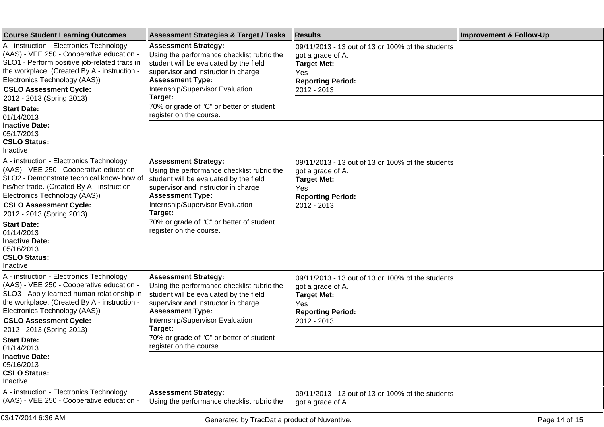| <b>Course Student Learning Outcomes</b>                                                                                                                                                                                                                  | <b>Assessment Strategies &amp; Target / Tasks</b>                                                                                                                                                                         | <b>Results</b>                                                                                                                                 | <b>Improvement &amp; Follow-Up</b> |
|----------------------------------------------------------------------------------------------------------------------------------------------------------------------------------------------------------------------------------------------------------|---------------------------------------------------------------------------------------------------------------------------------------------------------------------------------------------------------------------------|------------------------------------------------------------------------------------------------------------------------------------------------|------------------------------------|
| A - instruction - Electronics Technology<br>(AAS) - VEE 250 - Cooperative education -<br>SLO1 - Perform positive job-related traits in<br>the workplace. (Created By A - instruction -<br>Electronics Technology (AAS))<br><b>CSLO Assessment Cycle:</b> | <b>Assessment Strategy:</b><br>Using the performance checklist rubric the<br>student will be evaluated by the field<br>supervisor and instructor in charge<br><b>Assessment Type:</b><br>Internship/Supervisor Evaluation | 09/11/2013 - 13 out of 13 or 100% of the students<br>got a grade of A.<br><b>Target Met:</b><br>Yes<br><b>Reporting Period:</b><br>2012 - 2013 |                                    |
| 2012 - 2013 (Spring 2013)                                                                                                                                                                                                                                | Target:                                                                                                                                                                                                                   |                                                                                                                                                |                                    |
| <b>Start Date:</b><br>01/14/2013<br><b>Inactive Date:</b>                                                                                                                                                                                                | 70% or grade of "C" or better of student<br>register on the course.                                                                                                                                                       |                                                                                                                                                |                                    |
| 05/17/2013<br><b>CSLO Status:</b><br>Inactive                                                                                                                                                                                                            |                                                                                                                                                                                                                           |                                                                                                                                                |                                    |
| A - instruction - Electronics Technology<br>(AAS) - VEE 250 - Cooperative education -<br>SLO2 - Demonstrate technical know- how of<br>his/her trade. (Created By A - instruction -<br>Electronics Technology (AAS))                                      | <b>Assessment Strategy:</b><br>Using the performance checklist rubric the<br>student will be evaluated by the field<br>supervisor and instructor in charge<br><b>Assessment Type:</b>                                     | 09/11/2013 - 13 out of 13 or 100% of the students<br>got a grade of A.<br><b>Target Met:</b><br>Yes<br><b>Reporting Period:</b>                |                                    |
| <b>CSLO Assessment Cycle:</b><br>2012 - 2013 (Spring 2013)                                                                                                                                                                                               | Internship/Supervisor Evaluation<br>Target:                                                                                                                                                                               | 2012 - 2013                                                                                                                                    |                                    |
| <b>Start Date:</b><br>01/14/2013                                                                                                                                                                                                                         | 70% or grade of "C" or better of student<br>register on the course.                                                                                                                                                       |                                                                                                                                                |                                    |
| <b>Inactive Date:</b><br>05/16/2013<br><b>CSLO Status:</b><br>Inactive                                                                                                                                                                                   |                                                                                                                                                                                                                           |                                                                                                                                                |                                    |
| A - instruction - Electronics Technology<br>(AAS) - VEE 250 - Cooperative education -<br>SLO3 - Apply learned human relationship in<br>the workplace. (Created By A - instruction -<br>Electronics Technology (AAS))                                     | <b>Assessment Strategy:</b><br>Using the performance checklist rubric the<br>student will be evaluated by the field<br>supervisor and instructor in charge.<br><b>Assessment Type:</b>                                    | 09/11/2013 - 13 out of 13 or 100% of the students<br>got a grade of A.<br><b>Target Met:</b><br>Yes<br><b>Reporting Period:</b>                |                                    |
| <b>CSLO Assessment Cycle:</b><br>2012 - 2013 (Spring 2013)                                                                                                                                                                                               | Internship/Supervisor Evaluation<br>Target:                                                                                                                                                                               | 2012 - 2013                                                                                                                                    |                                    |
| <b>Start Date:</b><br>01/14/2013                                                                                                                                                                                                                         | 70% or grade of "C" or better of student<br>register on the course.                                                                                                                                                       |                                                                                                                                                |                                    |
| <b>Inactive Date:</b><br>05/16/2013<br><b>CSLO Status:</b><br>Inactive                                                                                                                                                                                   |                                                                                                                                                                                                                           |                                                                                                                                                |                                    |
| A - instruction - Electronics Technology<br>(AAS) - VEE 250 - Cooperative education -                                                                                                                                                                    | <b>Assessment Strategy:</b><br>Using the performance checklist rubric the                                                                                                                                                 | 09/11/2013 - 13 out of 13 or 100% of the students<br>got a grade of A.                                                                         |                                    |
| 03/17/2014 6:36 AM                                                                                                                                                                                                                                       | Generated by TracDat a product of Nuventive.                                                                                                                                                                              |                                                                                                                                                | Page 14 of 15                      |